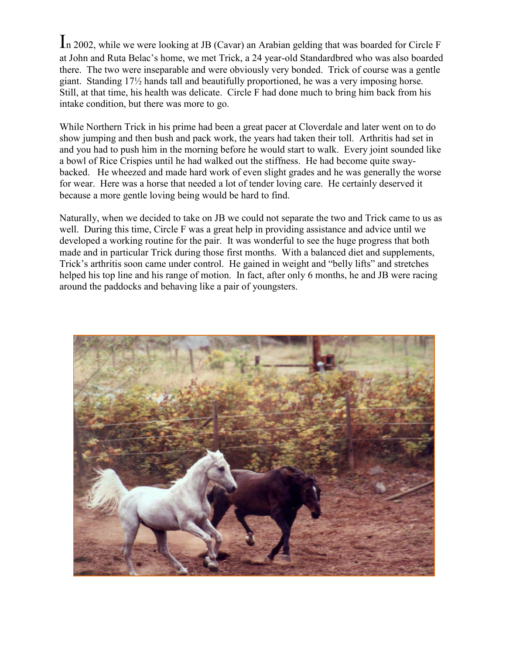In 2002, while we were looking at JB (Cavar) an Arabian gelding that was boarded for Circle F at John and Ruta Belac's home, we met Trick, a 24 year-old Standardbred who was also boarded there. The two were inseparable and were obviously very bonded. Trick of course was a gentle giant. Standing 17½ hands tall and beautifully proportioned, he was a very imposing horse. Still, at that time, his health was delicate. Circle F had done much to bring him back from his intake condition, but there was more to go.

While Northern Trick in his prime had been a great pacer at Cloverdale and later went on to do show jumping and then bush and pack work, the years had taken their toll. Arthritis had set in and you had to push him in the morning before he would start to walk. Every joint sounded like a bowl of Rice Crispies until he had walked out the stiffness. He had become quite swaybacked. He wheezed and made hard work of even slight grades and he was generally the worse for wear. Here was a horse that needed a lot of tender loving care. He certainly deserved it because a more gentle loving being would be hard to find.

Naturally, when we decided to take on JB we could not separate the two and Trick came to us as well. During this time, Circle F was a great help in providing assistance and advice until we developed a working routine for the pair. It was wonderful to see the huge progress that both made and in particular Trick during those first months. With a balanced diet and supplements, Trick's arthritis soon came under control. He gained in weight and "belly lifts" and stretches helped his top line and his range of motion. In fact, after only 6 months, he and JB were racing around the paddocks and behaving like a pair of youngsters.

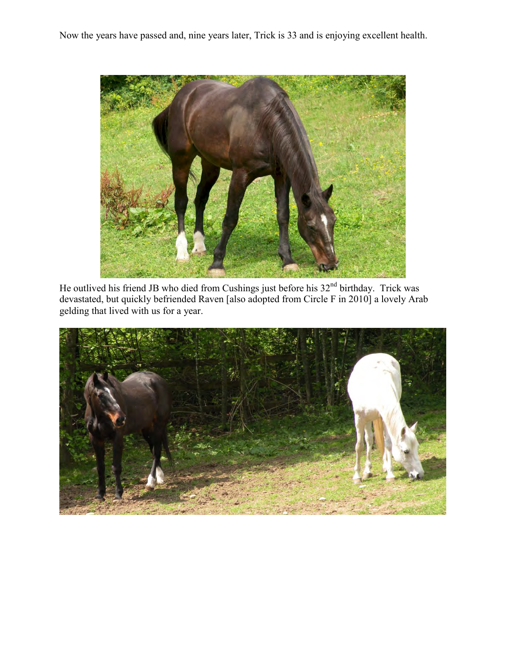Now the years have passed and, nine years later, Trick is 33 and is enjoying excellent health.



He outlived his friend JB who died from Cushings just before his 32<sup>nd</sup> birthday. Trick was devastated, but quickly befriended Raven [also adopted from Circle F in 2010] a lovely Arab gelding that lived with us for a year.

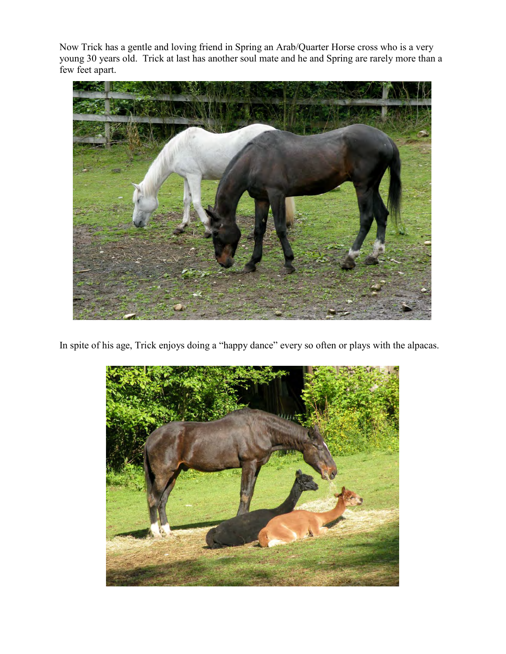Now Trick has a gentle and loving friend in Spring an Arab/Quarter Horse cross who is a very young 30 years old. Trick at last has another soul mate and he and Spring are rarely more than a few feet apart.



In spite of his age, Trick enjoys doing a "happy dance" every so often or plays with the alpacas.